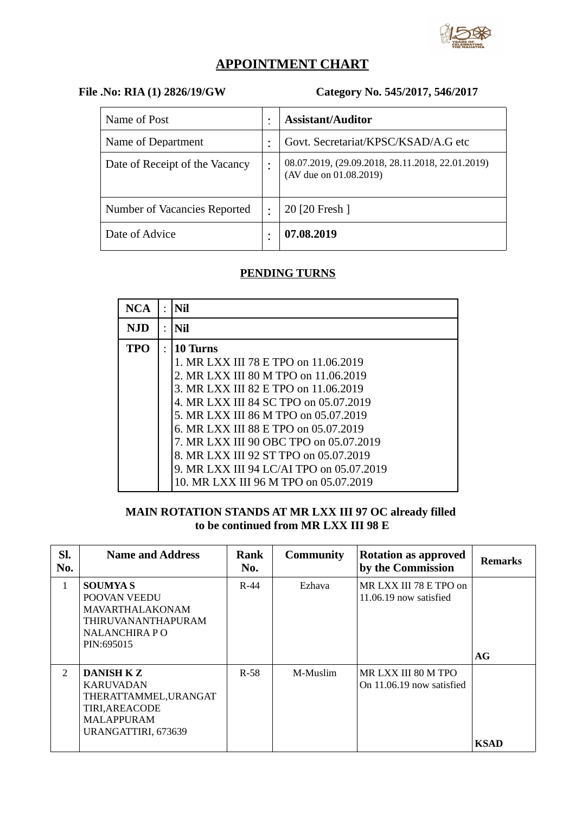

# **APPOINTMENT CHART**

## **File .No: RIA (1) 2826/19/GW Category No. 545/2017, 546/2017**

| Name of Post                   |   | <b>Assistant/Auditor</b>                                                   |
|--------------------------------|---|----------------------------------------------------------------------------|
| Name of Department             |   | Govt. Secretariat/KPSC/KSAD/A.G etc                                        |
| Date of Receipt of the Vacancy |   | 08.07.2019, (29.09.2018, 28.11.2018, 22.01.2019)<br>(AV due on 01.08.2019) |
| Number of Vacancies Reported   | ٠ | 20 [20 Fresh ]                                                             |
| Date of Advice                 |   | 07.08.2019                                                                 |

### **PENDING TURNS**

| <b>NCA</b> | $\bullet$ | Nil                                      |
|------------|-----------|------------------------------------------|
| NJD        | ٠         | Nil                                      |
| <b>TPO</b> | $\bullet$ | <b>10 Turns</b>                          |
|            |           | 1. MR LXX III 78 E TPO on 11.06.2019     |
|            |           | 2. MR LXX III 80 M TPO on 11.06.2019     |
|            |           | 3. MR LXX III 82 E TPO on 11.06.2019     |
|            |           | 4. MR LXX III 84 SC TPO on 05.07.2019    |
|            |           | 5. MR LXX III 86 M TPO on 05.07.2019     |
|            |           | 6. MR LXX III 88 E TPO on 05.07.2019     |
|            |           | 7. MR LXX III 90 OBC TPO on 05.07.2019   |
|            |           | 8. MR LXX III 92 ST TPO on 05.07.2019    |
|            |           | 9. MR LXX III 94 LC/AI TPO on 05.07.2019 |
|            |           | 10. MR LXX III 96 M TPO on 05.07.2019    |

#### **MAIN ROTATION STANDS AT MR LXX III 97 OC already filled to be continued from MR LXX III 98 E**

| SI.<br>No.     | <b>Name and Address</b>                                                                                               | Rank<br>No. | <b>Community</b> | <b>Rotation as approved</b><br>by the Commission | <b>Remarks</b> |
|----------------|-----------------------------------------------------------------------------------------------------------------------|-------------|------------------|--------------------------------------------------|----------------|
| 1              | <b>SOUMYAS</b><br>POOVAN VEEDU<br>MAVARTHALAKONAM<br><b>THIRUVANANTHAPURAM</b><br>NALANCHIRA PO<br>PIN:695015         | $R-44$      | Ezhava           | MR LXX III 78 E TPO on<br>11.06.19 now satisfied | AG             |
| $\overline{2}$ | DANISH K Z<br><b>KARUVADAN</b><br>THERATTAMMEL, URANGAT<br>TIRI, AREACODE<br><b>MALAPPURAM</b><br>URANGATTIRI, 673639 | $R-58$      | M-Muslim         | MR LXX III 80 M TPO<br>On 11.06.19 now satisfied | <b>KSAD</b>    |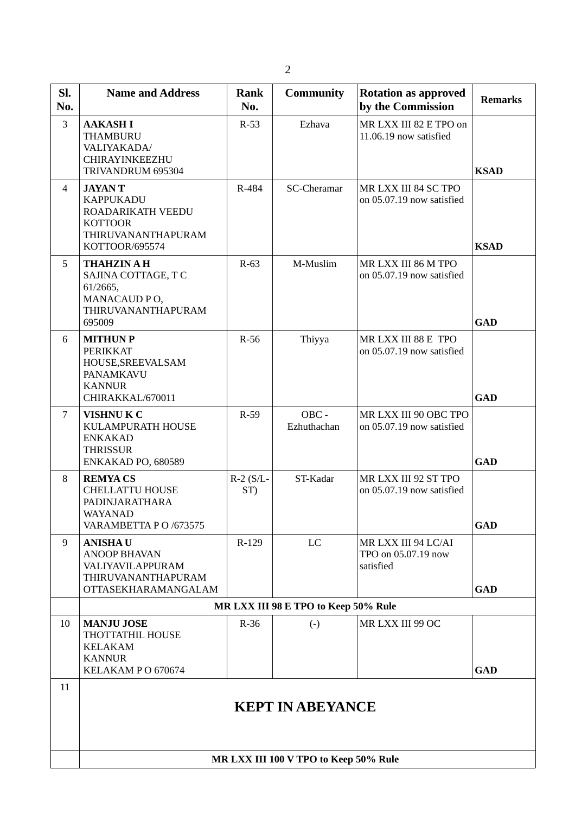| Sl.<br>No.     | <b>Name and Address</b>                                                                                          | <b>Rank</b><br>No. | <b>Community</b>                     | <b>Rotation as approved</b><br>by the Commission        | <b>Remarks</b> |  |  |  |
|----------------|------------------------------------------------------------------------------------------------------------------|--------------------|--------------------------------------|---------------------------------------------------------|----------------|--|--|--|
| 3              | <b>AAKASHI</b><br><b>THAMBURU</b><br>VALIYAKADA/<br>CHIRAYINKEEZHU<br>TRIVANDRUM 695304                          | $R-53$             | Ezhava                               | MR LXX III 82 E TPO on<br>11.06.19 now satisfied        | <b>KSAD</b>    |  |  |  |
| 4              | <b>JAYANT</b><br><b>KAPPUKADU</b><br>ROADARIKATH VEEDU<br><b>KOTTOOR</b><br>THIRUVANANTHAPURAM<br>KOTTOOR/695574 | R-484              | SC-Cheramar                          | MR LXX III 84 SC TPO<br>on 05.07.19 now satisfied       | <b>KSAD</b>    |  |  |  |
| 5              | <b>THAHZIN A H</b><br>SAJINA COTTAGE, TC<br>61/2665,<br>MANACAUD PO,<br>THIRUVANANTHAPURAM<br>695009             | $R-63$             | M-Muslim                             | MR LXX III 86 M TPO<br>on 05.07.19 now satisfied        | <b>GAD</b>     |  |  |  |
| 6              | <b>MITHUN P</b><br><b>PERIKKAT</b><br>HOUSE, SREEVALSAM<br>PANAMKAVU<br><b>KANNUR</b><br>CHIRAKKAL/670011        | $R-56$             | Thiyya                               | MR LXX III 88 E TPO<br>on 05.07.19 now satisfied        | <b>GAD</b>     |  |  |  |
| $\overline{7}$ | <b>VISHNUK C</b><br>KULAMPURATH HOUSE<br><b>ENKAKAD</b><br><b>THRISSUR</b><br>ENKAKAD PO, 680589                 | $R-59$             | OBC -<br>Ezhuthachan                 | MR LXX III 90 OBC TPO<br>on 05.07.19 now satisfied      | <b>GAD</b>     |  |  |  |
| 8              | <b>REMYACS</b><br><b>CHELLATTU HOUSE</b><br>PADINJARATHARA<br><b>WAYANAD</b><br>VARAMBETTA PO /673575            | $R-2$ (S/L-<br>ST) | ST-Kadar                             | MR LXX III 92 ST TPO<br>on 05.07.19 now satisfied       | <b>GAD</b>     |  |  |  |
| 9              | <b>ANISHAU</b><br><b>ANOOP BHAVAN</b><br>VALIYAVILAPPURAM<br>THIRUVANANTHAPURAM<br><b>OTTASEKHARAMANGALAM</b>    | R-129              | <b>LC</b>                            | MR LXX III 94 LC/AI<br>TPO on 05.07.19 now<br>satisfied | <b>GAD</b>     |  |  |  |
|                |                                                                                                                  |                    | MR LXX III 98 E TPO to Keep 50% Rule |                                                         |                |  |  |  |
| 10             | <b>MANJU JOSE</b><br>THOTTATHIL HOUSE<br><b>KELAKAM</b><br><b>KANNUR</b><br>KELAKAM PO 670674                    | $R-36$             | $(-)$                                | MR LXX III 99 OC                                        | <b>GAD</b>     |  |  |  |
| 11             | <b>KEPT IN ABEYANCE</b>                                                                                          |                    |                                      |                                                         |                |  |  |  |
|                | MR LXX III 100 V TPO to Keep 50% Rule                                                                            |                    |                                      |                                                         |                |  |  |  |

2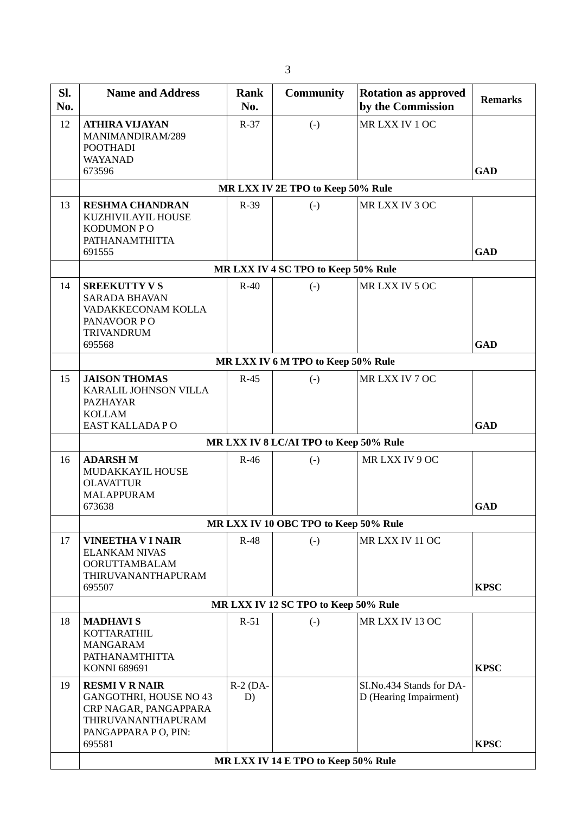| SI.<br>No. | <b>Name and Address</b>                                                                                                         | Rank<br>No.      | <b>Community</b>                     | <b>Rotation as approved</b><br>by the Commission   | <b>Remarks</b> |  |  |  |  |  |
|------------|---------------------------------------------------------------------------------------------------------------------------------|------------------|--------------------------------------|----------------------------------------------------|----------------|--|--|--|--|--|
| 12         | <b>ATHIRA VIJAYAN</b><br>MANIMANDIRAM/289<br><b>POOTHADI</b><br><b>WAYANAD</b><br>673596                                        | $R-37$           | $(-)$                                | MRLXX IV 1 OC                                      | <b>GAD</b>     |  |  |  |  |  |
|            | MR LXX IV 2E TPO to Keep 50% Rule                                                                                               |                  |                                      |                                                    |                |  |  |  |  |  |
| 13         | <b>RESHMA CHANDRAN</b><br>KUZHIVILAYIL HOUSE<br><b>KODUMON PO</b><br>PATHANAMTHITTA<br>691555                                   | R-39             | $(-)$                                | MR LXX IV 3 OC                                     | <b>GAD</b>     |  |  |  |  |  |
|            |                                                                                                                                 |                  | MR LXX IV 4 SC TPO to Keep 50% Rule  |                                                    |                |  |  |  |  |  |
| 14         | <b>SREEKUTTY V S</b><br><b>SARADA BHAVAN</b><br>VADAKKECONAM KOLLA<br>PANAVOOR PO<br><b>TRIVANDRUM</b><br>695568                | $R-40$           | $(-)$                                | MR LXX IV 5 OC                                     | <b>GAD</b>     |  |  |  |  |  |
|            |                                                                                                                                 |                  | MR LXX IV 6 M TPO to Keep 50% Rule   |                                                    |                |  |  |  |  |  |
| 15         | <b>JAISON THOMAS</b><br>KARALIL JOHNSON VILLA<br><b>PAZHAYAR</b><br><b>KOLLAM</b><br>EAST KALLADA PO                            | $R-45$           | $(-)$                                | MR LXX IV 7 OC                                     | <b>GAD</b>     |  |  |  |  |  |
|            | MR LXX IV 8 LC/AI TPO to Keep 50% Rule                                                                                          |                  |                                      |                                                    |                |  |  |  |  |  |
| 16         | <b>ADARSH M</b><br>MUDAKKAYIL HOUSE<br><b>OLAVATTUR</b><br><b>MALAPPURAM</b><br>673638                                          | $R-46$           | $(-)$                                | MRLXX IV 9 OC                                      | <b>GAD</b>     |  |  |  |  |  |
|            | MR LXX IV 10 OBC TPO to Keep 50% Rule                                                                                           |                  |                                      |                                                    |                |  |  |  |  |  |
| 17         | <b>VINEETHA V I NAIR</b><br><b>ELANKAM NIVAS</b><br><b>OORUTTAMBALAM</b><br>THIRUVANANTHAPURAM<br>695507                        | $R-48$           | $(-)$                                | MR LXX IV 11 OC                                    | <b>KPSC</b>    |  |  |  |  |  |
|            |                                                                                                                                 |                  | MR LXX IV 12 SC TPO to Keep 50% Rule |                                                    |                |  |  |  |  |  |
| 18         | <b>MADHAVIS</b><br>KOTTARATHIL<br><b>MANGARAM</b><br>PATHANAMTHITTA<br>KONNI 689691                                             | $R-51$           | $(-)$                                | MR LXX IV 13 OC                                    | <b>KPSC</b>    |  |  |  |  |  |
| 19         | <b>RESMI V R NAIR</b><br>GANGOTHRI, HOUSE NO 43<br>CRP NAGAR, PANGAPPARA<br>THIRUVANANTHAPURAM<br>PANGAPPARA PO, PIN:<br>695581 | $R-2$ (DA-<br>D) |                                      | SI.No.434 Stands for DA-<br>D (Hearing Impairment) | <b>KPSC</b>    |  |  |  |  |  |
|            |                                                                                                                                 |                  | MR LXX IV 14 E TPO to Keep 50% Rule  |                                                    |                |  |  |  |  |  |